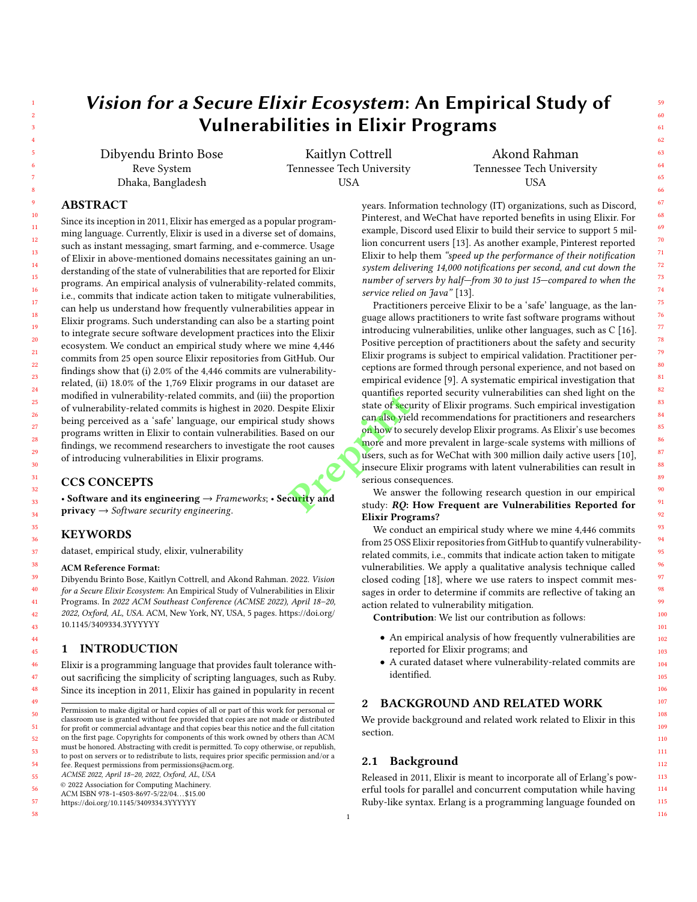# Vision for a Secure Elixir Ecosystem: An Empirical Study of Vulnerabilities in Elixir Programs

Dibyendu Brinto Bose Reve System Dhaka, Bangladesh

Kaitlyn Cottrell Tennessee Tech University USA

Akond Rahman Tennessee Tech University USA

# ABSTRACT

Since its inception in 2011, Elixir has emerged as a popular programming language. Currently, Elixir is used in a diverse set of domains, such as instant messaging, smart farming, and e-commerce. Usage of Elixir in above-mentioned domains necessitates gaining an understanding of the state of vulnerabilities that are reported for Elixir programs. An empirical analysis of vulnerability-related commits, i.e., commits that indicate action taken to mitigate vulnerabilities, can help us understand how frequently vulnerabilities appear in Elixir programs. Such understanding can also be a starting point to integrate secure software development practices into the Elixir ecosystem. We conduct an empirical study where we mine 4,446 commits from 25 open source Elixir repositories from GitHub. Our findings show that (i) 2.0% of the 4,446 commits are vulnerabilityrelated, (ii) 18.0% of the 1,769 Elixir programs in our dataset are modified in vulnerability-related commits, and (iii) the proportion of vulnerability-related commits is highest in 2020. Despite Elixir being perceived as a 'safe' language, our empirical study shows programs written in Elixir to contain vulnerabilities. Based on our findings, we recommend researchers to investigate the root causes of introducing vulnerabilities in Elixir programs.

# CCS CONCEPTS

• Software and its engineering  $\rightarrow$  Frameworks; • Security and  $\text{private}$   $\rightarrow$  Software security engineering.

#### KEYWORDS

dataset, empirical study, elixir, vulnerability

#### ACM Reference Format:

Dibyendu Brinto Bose, Kaitlyn Cottrell, and Akond Rahman. 2022. Vision for a Secure Elixir Ecosystem: An Empirical Study of Vulnerabilities in Elixir Programs. In 2022 ACM Southeast Conference (ACMSE 2022), April 18–20, 2022, Oxford, AL, USA. ACM, New York, NY, USA, 5 pages. https://doi.org/ 10.1145/3409334.3YYYYYY

## 1 INTRODUCTION

Elixir is a programming language that provides fault tolerance without sacrificing the simplicity of scripting languages, such as Ruby. Since its inception in 2011, Elixir has gained in popularity in recent

55 ACMSE 2022, April 18–20, 2022, Oxford, AL, USA

58

years. Information technology (IT) organizations, such as Discord, Pinterest, and WeChat have reported benefits in using Elixir. For example, Discord used Elixir to build their service to support 5 million concurrent users [13]. As another example, Pinterest reported Elixir to help them "speed up the performance of their notification system delivering 14,000 notifications per second, and cut down the number of servers by half—from 30 to just 15—compared to when the service relied on Java" [13].

Practitioners perceive Elixir to be a 'safe' language, as the language allows practitioners to write fast software programs without introducing vulnerabilities, unlike other languages, such as C [16]. Positive perception of practitioners about the safety and security Elixir programs is subject to empirical validation. Practitioner perceptions are formed through personal experience, and not based on empirical evidence [9]. A systematic empirical investigation that quantifies reported security vulnerabilities can shed light on the state of security of Elixir programs. Such empirical investigation can also yield recommendations for practitioners and researchers on how to securely develop Elixir programs. As Elixir's use becomes more and more prevalent in large-scale systems with millions of users, such as for WeChat with 300 million daily active users [10], insecure Elixir programs with latent vulnerabilities can result in serious consequences. proportion<br>
spite Elixir state of secure of the state of secure and more and more and more and more and more and more and more and more and more and more and more and more and more and more and more and more and more and m

We answer the following research question in our empirical study: RQ: How Frequent are Vulnerabilities Reported for Elixir Programs?

We conduct an empirical study where we mine 4,446 commits from 25 OSS Elixir repositories from GitHub to quantify vulnerabilityrelated commits, i.e., commits that indicate action taken to mitigate vulnerabilities. We apply a qualitative analysis technique called closed coding [18], where we use raters to inspect commit messages in order to determine if commits are reflective of taking an action related to vulnerability mitigation.

Contribution: We list our contribution as follows:

- An empirical analysis of how frequently vulnerabilities are reported for Elixir programs; and
- A curated dataset where vulnerability-related commits are identified.

#### 2 BACKGROUND AND RELATED WORK

We provide background and related work related to Elixir in this section.

## 2.1 Background

1

Released in 2011, Elixir is meant to incorporate all of Erlang's powerful tools for parallel and concurrent computation while having Ruby-like syntax. Erlang is a programming language founded on

116

<sup>49</sup> 50 51 52 53 Permission to make digital or hard copies of all or part of this work for personal or classroom use is granted without fee provided that copies are not made or distributed for profit or commercial advantage and that copies bear this notice and the full citation on the first page. Copyrights for components of this work owned by others than ACM must be honored. Abstracting with credit is permitted. To copy otherwise, or republish,

<sup>54</sup> to post on servers or to redistribute to lists, requires prior specific permission and/or a fee. Request permissions from permissions@acm.org.

<sup>56</sup> © 2022 Association for Computing Machinery.

ACM ISBN 978-1-4503-8697-5/22/04. . . \$15.00

<sup>57</sup> https://doi.org/10.1145/3409334.3YYYYYY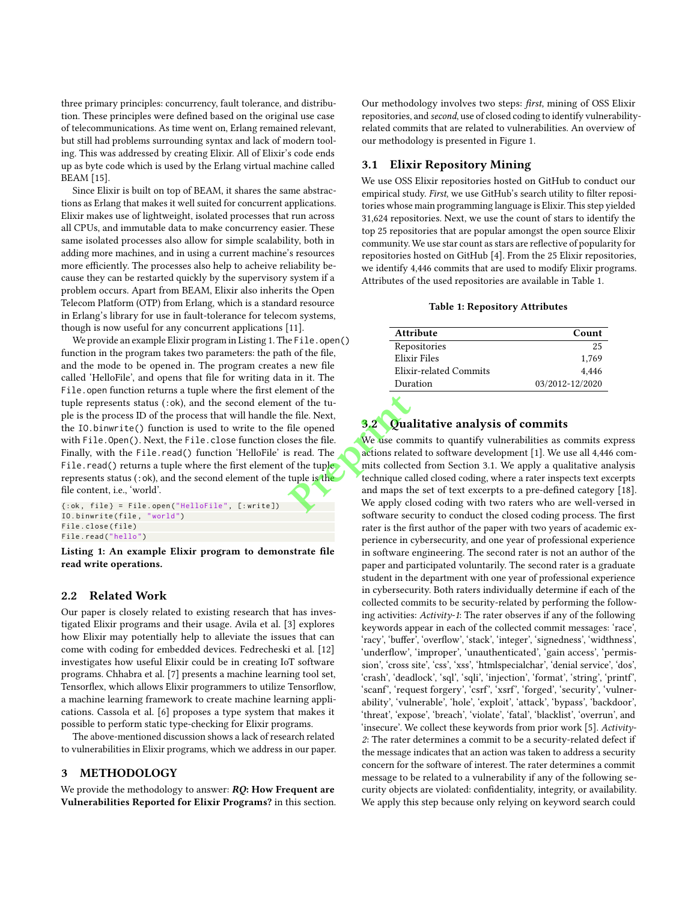three primary principles: concurrency, fault tolerance, and distribution. These principles were defined based on the original use case of telecommunications. As time went on, Erlang remained relevant, but still had problems surrounding syntax and lack of modern tooling. This was addressed by creating Elixir. All of Elixir's code ends up as byte code which is used by the Erlang virtual machine called BEAM [15].

Since Elixir is built on top of BEAM, it shares the same abstractions as Erlang that makes it well suited for concurrent applications. Elixir makes use of lightweight, isolated processes that run across all CPUs, and immutable data to make concurrency easier. These same isolated processes also allow for simple scalability, both in adding more machines, and in using a current machine's resources more efficiently. The processes also help to acheive reliability because they can be restarted quickly by the supervisory system if a problem occurs. Apart from BEAM, Elixir also inherits the Open Telecom Platform (OTP) from Erlang, which is a standard resource in Erlang's library for use in fault-tolerance for telecom systems, though is now useful for any concurrent applications [11].

We provide an example Elixir program in Listing 1. The File.open() function in the program takes two parameters: the path of the file, and the mode to be opened in. The program creates a new file called 'HelloFile', and opens that file for writing data in it. The File.open function returns a tuple where the first element of the tuple represents status (:ok), and the second element of the tuple is the process ID of the process that will handle the file. Next, the IO.binwrite() function is used to write to the file opened with File.Open(). Next, the File.close function closes the file. Finally, with the File.read() function 'HelloFile' is read. The File.read() returns a tuple where the first element of the tuple represents status ( $:$ ok), and the second element of the tuple is the file content, i.e., 'world'. at of the tu-<br>
e file. Next,<br>
file opened<br>
ses the file.<br> **Preprient to the conduction**<br>
Fig. 1. The second technique cand maps the conduction<br>
we apply cl

 $\{\text{:ok, file}\} = \text{File.open("HelloFile", [:write])}\$ IO . binwrite ( file , " world ") File . close ( file ) File . read (" hello ")

Listing 1: An example Elixir program to demonstrate file read write operations.

#### 2.2 Related Work

Our paper is closely related to existing research that has investigated Elixir programs and their usage. Avila et al. [3] explores how Elixir may potentially help to alleviate the issues that can come with coding for embedded devices. Fedrecheski et al. [12] investigates how useful Elixir could be in creating IoT software programs. Chhabra et al. [7] presents a machine learning tool set, Tensorflex, which allows Elixir programmers to utilize Tensorflow, a machine learning framework to create machine learning applications. Cassola et al. [6] proposes a type system that makes it possible to perform static type-checking for Elixir programs.

The above-mentioned discussion shows a lack of research related to vulnerabilities in Elixir programs, which we address in our paper.

## 3 METHODOLOGY

We provide the methodology to answer:  $RQ$ : How Frequent are Vulnerabilities Reported for Elixir Programs? in this section. Our methodology involves two steps: first, mining of OSS Elixir repositories, and second, use of closed coding to identify vulnerabilityrelated commits that are related to vulnerabilities. An overview of our methodology is presented in Figure 1.

#### 3.1 Elixir Repository Mining

We use OSS Elixir repositories hosted on GitHub to conduct our empirical study. First, we use GitHub's search utility to filter repositories whose main programming language is Elixir. This step yielded 31,624 repositories. Next, we use the count of stars to identify the top 25 repositories that are popular amongst the open source Elixir community. We use star count as stars are reflective of popularity for repositories hosted on GitHub [4]. From the 25 Elixir repositories, we identify 4,446 commits that are used to modify Elixir programs. Attributes of the used repositories are available in Table 1.

#### Table 1: Repository Attributes

| <b>Attribute</b>       | Count           |
|------------------------|-----------------|
| Repositories           | 25              |
| Elixir Files           | 1.769           |
| Elixir-related Commits | 4.446           |
| Duration               | 03/2012-12/2020 |

# **Qualitative analysis of commits**

We use commits to quantify vulnerabilities as commits express actions related to software development [1]. We use all 4,446 commits collected from Section 3.1. We apply a qualitative analysis technique called closed coding, where a rater inspects text excerpts and maps the set of text excerpts to a pre-defined category [18]. We apply closed coding with two raters who are well-versed in software security to conduct the closed coding process. The first rater is the first author of the paper with two years of academic experience in cybersecurity, and one year of professional experience in software engineering. The second rater is not an author of the paper and participated voluntarily. The second rater is a graduate student in the department with one year of professional experience in cybersecurity. Both raters individually determine if each of the collected commits to be security-related by performing the following activities: Activity-1: The rater observes if any of the following keywords appear in each of the collected commit messages: 'race', 'racy', 'buffer', 'overflow', 'stack', 'integer', 'signedness', 'widthness', 'underflow', 'improper', 'unauthenticated', 'gain access', 'permission', 'cross site', 'css', 'xss', 'htmlspecialchar', 'denial service', 'dos', 'crash', 'deadlock', 'sql', 'sqli', 'injection', 'format', 'string', 'printf', 'scanf', 'request forgery', 'csrf', 'xsrf', 'forged', 'security', 'vulnerability', 'vulnerable', 'hole', 'exploit', 'attack', 'bypass', 'backdoor', 'threat', 'expose', 'breach', 'violate', 'fatal', 'blacklist', 'overrun', and 'insecure'. We collect these keywords from prior work [5]. Activity-2: The rater determines a commit to be a security-related defect if the message indicates that an action was taken to address a security concern for the software of interest. The rater determines a commit message to be related to a vulnerability if any of the following security objects are violated: confidentiality, integrity, or availability. We apply this step because only relying on keyword search could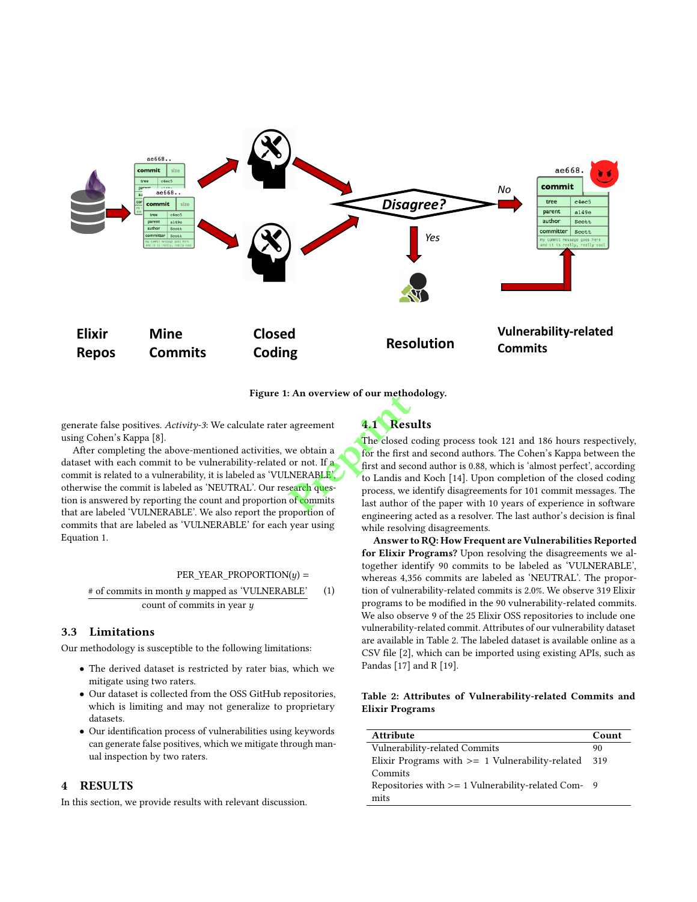

Figure 1: An overview of our methodology.

generate false positives. Activity-3: We calculate rater agreement using Cohen's Kappa [8].

After completing the above-mentioned activities, we obtain a dataset with each commit to be vulnerability-related or not. If a commit is related to a vulnerability, it is labeled as 'VULNERABLE', otherwise the commit is labeled as 'NEUTRAL'. Our research question is answered by reporting the count and proportion of commits that are labeled 'VULNERABLE'. We also report the proportion of commits that are labeled as 'VULNERABLE' for each year using Equation 1.

#### $PER_YEAR_PROPORTION(y) =$

 $#$  of commits in month  $y$  mapped as 'VULNERABLE' count of commits in year  $y$ (1)

## 3.3 Limitations

Our methodology is susceptible to the following limitations:

- The derived dataset is restricted by rater bias, which we mitigate using two raters.
- Our dataset is collected from the OSS GitHub repositories, which is limiting and may not generalize to proprietary datasets.
- Our identification process of vulnerabilities using keywords can generate false positives, which we mitigate through manual inspection by two raters.

#### 4 RESULTS

In this section, we provide results with relevant discussion.

4.1 Results

The closed coding process took 121 and 186 hours respectively, for the first and second authors. The Cohen's Kappa between the first and second author is 0.88, which is 'almost perfect', according to Landis and Koch [14]. Upon completion of the closed coding process, we identify disagreements for 101 commit messages. The last author of the paper with 10 years of experience in software engineering acted as a resolver. The last author's decision is final while resolving disagreements. Fail overview of our method<br>agreement<br>we obtain a<br>we obtain a<br>or not. If a<br>or not. If a<br>NERABLE:<br>to Landis are<br>earch ques-<br>of commits<br>of any process, we<br>last author

> Answer to RQ: How Frequent are Vulnerabilities Reported for Elixir Programs? Upon resolving the disagreements we altogether identify 90 commits to be labeled as 'VULNERABLE', whereas 4,356 commits are labeled as 'NEUTRAL'. The proportion of vulnerability-related commits is 2.0%. We observe 319 Elixir programs to be modified in the 90 vulnerability-related commits. We also observe 9 of the 25 Elixir OSS repositories to include one vulnerability-related commit. Attributes of our vulnerability dataset are available in Table 2. The labeled dataset is available online as a CSV file [2], which can be imported using existing APIs, such as Pandas [17] and R [19].

Table 2: Attributes of Vulnerability-related Commits and Elixir Programs

| <b>Attribute</b>                                    | Count |
|-----------------------------------------------------|-------|
| Vulnerability-related Commits                       | 90    |
| Elixir Programs with $>= 1$ Vulnerability-related   | 319   |
| Commits                                             |       |
| Repositories with >= 1 Vulnerability-related Com- 9 |       |
| mits                                                |       |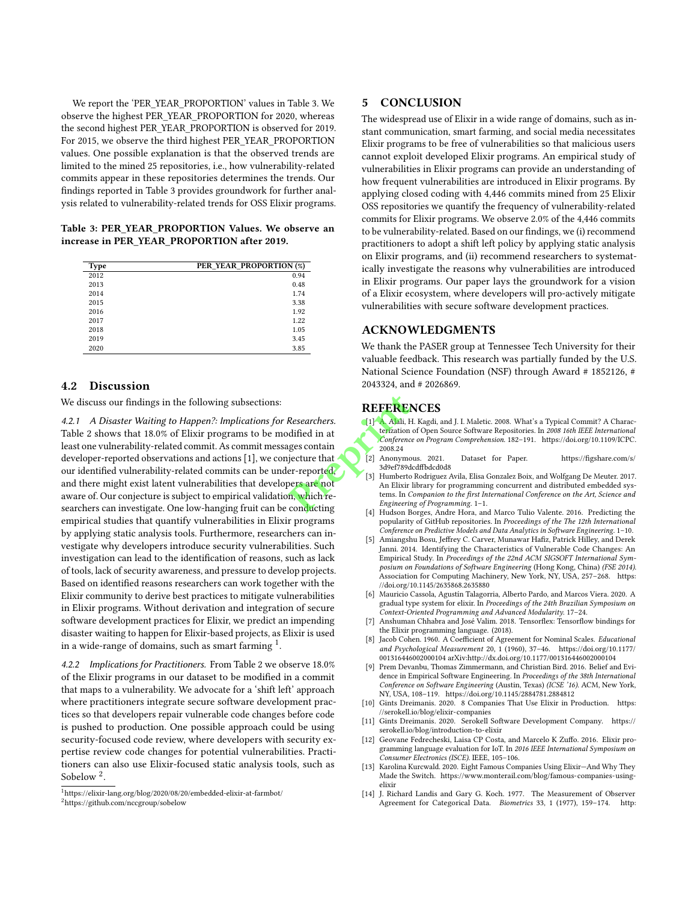We report the 'PER\_YEAR\_PROPORTION' values in Table 3. We observe the highest PER\_YEAR\_PROPORTION for 2020, whereas the second highest PER\_YEAR\_PROPORTION is observed for 2019. For 2015, we observe the third highest PER\_YEAR\_PROPORTION values. One possible explanation is that the observed trends are limited to the mined 25 repositories, i.e., how vulnerability-related commits appear in these repositories determines the trends. Our findings reported in Table 3 provides groundwork for further analysis related to vulnerability-related trends for OSS Elixir programs.

Table 3: PER\_YEAR\_PROPORTION Values. We observe an increase in PER\_YEAR\_PROPORTION after 2019.

| <b>Type</b> | PER YEAR PROPORTION (%) |
|-------------|-------------------------|
| 2012        | 0.94                    |
| 2013        | 0.48                    |
| 2014        | 1.74                    |
| 2015        | 3.38                    |
| 2016        | 1.92                    |
| 2017        | 1.22                    |
| 2018        | 1.05                    |
| 2019        | 3.45                    |
| 2020        | 3.85                    |

#### 4.2 Discussion

We discuss our findings in the following subsections:

4.2.1 A Disaster Waiting to Happen?: Implications for Researchers. Table 2 shows that 18.0% of Elixir programs to be modified in at least one vulnerability-related commit. As commit messages contain developer-reported observations and actions [1], we conjecture that our identified vulnerability-related commits can be under-reported, and there might exist latent vulnerabilities that developers are not aware of. Our conjecture is subject to empirical validation, which researchers can investigate. One low-hanging fruit can be conducting empirical studies that quantify vulnerabilities in Elixir programs by applying static analysis tools. Furthermore, researchers can investigate why developers introduce security vulnerabilities. Such investigation can lead to the identification of reasons, such as lack of tools, lack of security awareness, and pressure to develop projects. Based on identified reasons researchers can work together with the Elixir community to derive best practices to mitigate vulnerabilities in Elixir programs. Without derivation and integration of secure software development practices for Elixir, we predict an impending disaster waiting to happen for Elixir-based projects, as Elixir is used in a wide-range of domains, such as smart farming  $^1$ . **REFERE**<br>
Researchers.<br>
dified in at<br>
ges contain<br>
ges contain<br>
ges contain<br>
ges contain<br>
ges contain<br>
for the same side of the same<br>
ges are not<br>
ges are not<br>
ges are not<br>
an Elixir<br>
m, which re-<br>
conducting<br>
ges are not<br>

4.2.2 Implications for Practitioners. From Table 2 we observe 18.0% of the Elixir programs in our dataset to be modified in a commit that maps to a vulnerability. We advocate for a 'shift left' approach where practitioners integrate secure software development practices so that developers repair vulnerable code changes before code is pushed to production. One possible approach could be using security-focused code review, where developers with security expertise review code changes for potential vulnerabilities. Practitioners can also use Elixir-focused static analysis tools, such as Sobelow<sup>2</sup>.

#### 5 CONCLUSION

The widespread use of Elixir in a wide range of domains, such as instant communication, smart farming, and social media necessitates Elixir programs to be free of vulnerabilities so that malicious users cannot exploit developed Elixir programs. An empirical study of vulnerabilities in Elixir programs can provide an understanding of how frequent vulnerabilities are introduced in Elixir programs. By applying closed coding with 4,446 commits mined from 25 Elixir OSS repositories we quantify the frequency of vulnerability-related commits for Elixir programs. We observe 2.0% of the 4,446 commits to be vulnerability-related. Based on our findings, we (i) recommend practitioners to adopt a shift left policy by applying static analysis on Elixir programs, and (ii) recommend researchers to systematically investigate the reasons why vulnerabilities are introduced in Elixir programs. Our paper lays the groundwork for a vision of a Elixir ecosystem, where developers will pro-actively mitigate vulnerabilities with secure software development practices.

#### ACKNOWLEDGMENTS

We thank the PASER group at Tennessee Tech University for their valuable feedback. This research was partially funded by the U.S. National Science Foundation (NSF) through Award # 1852126, # 2043324, and # 2026869.

## **REFERENCES**

- [1] A. Alali, H. Kagdi, and J. I. Maletic. 2008. What's a Typical Commit? A Characterization of Open Source Software Repositories. In 2008 16th IEEE International Conference on Program Comprehension. 182–191. https://doi.org/10.1109/ICPC. 2008.24<br>Anonymous. 2021.
- [2] Anonymous. 2021. Dataset for Paper. https://figshare.com/s/ 3d9ef789dcdffbdcd0d8
- [3] Humberto Rodriguez Avila, Elisa Gonzalez Boix, and Wolfgang De Meuter. 2017. An Elixir library for programming concurrent and distributed embedded systems. In Companion to the first International Conference on the Art, Science and Engineering of Programming. 1–1.
- [4] Hudson Borges, Andre Hora, and Marco Tulio Valente. 2016. Predicting the popularity of GitHub repositories. In Proceedings of the The 12th International Conference on Predictive Models and Data Analytics in Software Engineering. 1–10.
- [5] Amiangshu Bosu, Jeffrey C. Carver, Munawar Hafiz, Patrick Hilley, and Derek Janni. 2014. Identifying the Characteristics of Vulnerable Code Changes: An Empirical Study. In Proceedings of the 22nd ACM SIGSOFT International Symposium on Foundations of Software Engineering (Hong Kong, China) (FSE 2014). Association for Computing Machinery, New York, NY, USA, 257–268. https: //doi.org/10.1145/2635868.2635880
- [6] Mauricio Cassola, Agustín Talagorria, Alberto Pardo, and Marcos Viera. 2020. A gradual type system for elixir. In Proceedings of the 24th Brazilian Symposium on Context-Oriented Programming and Advanced Modularity. 17–24.
- Anshuman Chhabra and José Valim. 2018. Tensorflex: Tensorflow bindings for the Elixir programming language. (2018).
- [8] Jacob Cohen. 1960. A Coefficient of Agreement for Nominal Scales. Educational and Psychological Measurement 20, 1 (1960), 37–46. https://doi.org/10.1177/ 001316446002000104 arXiv:http://dx.doi.org/10.1177/001316446002000104
- [9] Prem Devanbu, Thomas Zimmermann, and Christian Bird. 2016. Belief and Evidence in Empirical Software Engineering. In Proceedings of the 38th International Conference on Software Engineering (Austin, Texas) (ICSE '16). ACM, New York, NY, USA, 108–119. https://doi.org/10.1145/2884781.2884812
- [10] Gints Dreimanis. 2020. 8 Companies That Use Elixir in Production. https: //serokell.io/blog/elixir-companies
- [11] Gints Dreimanis. 2020. Serokell Software Development Company. https:// serokell.io/blog/introduction-to-elixir
- [12] Geovane Fedrecheski, Laisa CP Costa, and Marcelo K Zuffo. 2016. Elixir programming language evaluation for IoT. In 2016 IEEE International Symposium on Consumer Electronics (ISCE). IEEE, 105–106.
- [13] Karolina Kurcwald. 2020. Eight Famous Companies Using Elixir—And Why They Made the Switch. https://www.monterail.com/blog/famous-companies-usingelixir
- [14] J. Richard Landis and Gary G. Koch. 1977. The Measurement of Observer Agreement for Categorical Data. Biometrics 33, 1 (1977), 159–174. http:

<sup>1</sup>https://elixir-lang.org/blog/2020/08/20/embedded-elixir-at-farmbot/ <sup>2</sup>https://github.com/nccgroup/sobelow